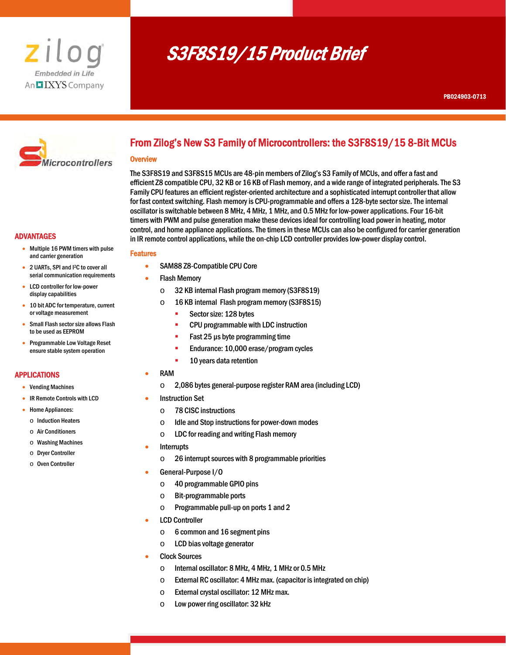

# S3F8S19/15 Product Brief



# From Zilog's New S3 Family of Microcontrollers: the S3F8S19/15 8-Bit MCUs

#### **Overview**

I

The S3F8S19 and S3F8S15 MCUs are 48-pin members of Zilog's S3 Family of MCUs, and offer a fast and efficient Z8 compatible CPU, 32 KB or 16 KB of Flash memory, and a wide range of integrated peripherals. The S3 Family CPU features an efficient register-oriented architecture and a sophisticated interrupt controller that allow for fast context switching. Flash memory is CPU-programmable and offers a 128-byte sector size. The internal oscillator is switchable between 8 MHz, 4 MHz, 1 MHz, and 0.5 MHz for low-power applications. Four 16-bit timers with PWM and pulse generation make these devices ideal for controlling load power in heating, motor control, and home appliance applications. The timers in these MCUs can also be configured for carrier generation in IR remote control applications, while the on-chip LCD controller provides low-power display control.

# ADVANTAGES

- Multiple 16 PWM timers with pulse and carrier generation
- 2 UARTs, SPI and I2C to cover all serial communication requirements
- LCD controller for low-power display capabilities
- 10 bit ADC for temperature, current or voltage measurement
- Small Flash sector size allows Flash to be used as EEPROM
- Programmable Low Voltage Reset ensure stable system operation

# APPLICATIONS

- Vending Machines
- IR Remote Controls with LCD
- Home Appliances:
	- o Induction Heaters
	- o Air Conditioners
	- o Washing Machines
	- o Dryer Controller
	- o Oven Controller

# Features

- SAM88 Z8-Compatible CPU Core
- Flash Memory
	- o 32 KB internal Flash program memory (S3F8S19)
	- o 16 KB internal Flash program memory (S3F8S15)
		- **Sector size: 128 bytes**
		- **CPU programmable with LDC instruction**
		- Fast 25 µs byte programming time
		- **Endurance: 10,000 erase/program cycles**
		- **10 years data retention**
	- RAM
		- o 2,086 bytes general-purpose register RAM area (including LCD)

# Instruction Set

- o 78 CISC instructions
- o Idle and Stop instructions for power-down modes
- $\circ$  LDC for reading and writing Flash memory
- Interrupts
	- o 26 interrupt sources with 8 programmable priorities
- General-Purpose I/O
	- o 40 programmable GPIO pins
	- o Bit-programmable ports
	- o Programmable pull-up on ports 1 and 2
- LCD Controller
	- o 6 common and 16 segment pins
	- o LCD bias voltage generator
- Clock Sources
	- o Internal oscillator: 8 MHz, 4 MHz, 1 MHz or 0.5 MHz
	- $\circ$  External RC oscillator: 4 MHz max. (capacitor is integrated on chip)
	- o External crystal oscillator: 12 MHz max.
	- o Low power ring oscillator: 32 kHz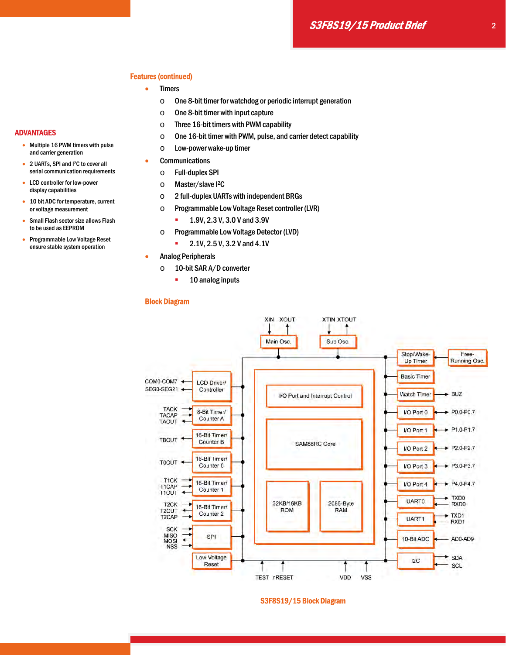# Features (continued)

- Timers
	- o One 8-bit timer for watchdog or periodic interrupt generation
	- $\circ$  One 8-bit timer with input capture
	- $\circ$  Three 16-bit timers with PWM capability
	- o One 16-bit timer with PWM, pulse, and carrier detect capability
	- o Low-power wake-up timer
- **•** Communications
	- o Full-duplex SPI
	- o Master/slave I2C
	- o 2 full-duplex UARTs with independent BRGs
	- o Programmable Low Voltage Reset controller (LVR)
		- **1.9V, 2.3 V, 3.0 V and 3.9V**
	- o Programmable Low Voltage Detector (LVD)
		- $-2.1V$ , 2.5 V, 3.2 V and 4.1V
- **•** Analog Peripherals
	- o 10-bit SAR A/D converter
		- **10 analog inputs**

## Block Diagram



# S3F8S19/15 Block Diagram

- Multiple 16 PWM timers with pulse and carrier generation
- 2 UARTs, SPI and I2C to cover all serial communication requirements
- LCD controller for low-power display capabilities
- 10 bit ADC for temperature, current or voltage measurement
- Small Flash sector size allows Flash to be used as EEPROM
- Programmable Low Voltage Reset ensure stable system operation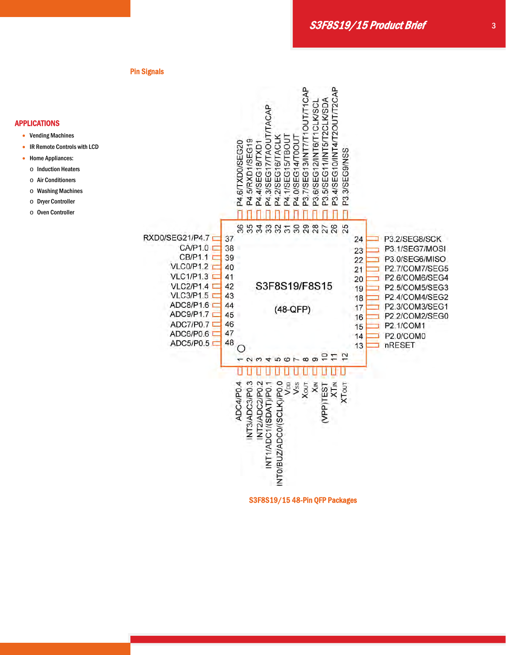#### Pin Signals

# APPLICATIONS

- Vending Machines
- IR Remote Controls with LCD
- Home Appliances:
	- o Induction Heaters
- o Air Conditioners
- o Washing Machines
- o Dryer Controller
- o Oven Controller



S3F8S19/15 48-Pin QFP Packages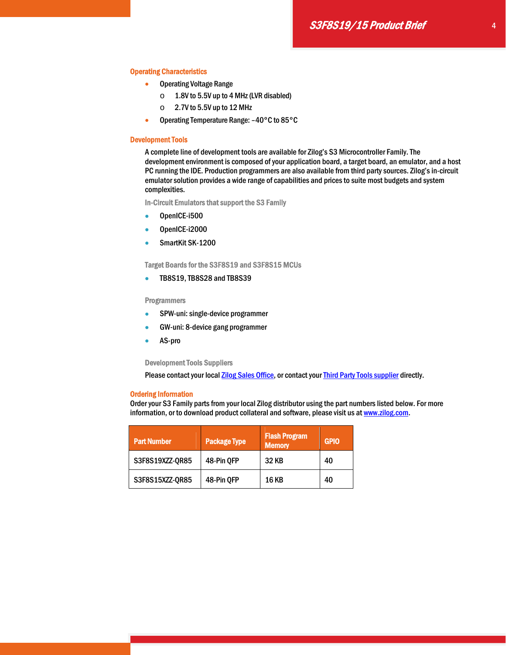## Operating Characteristics

- **Operating Voltage Range** 
	- o 1.8V to 5.5V up to 4 MHz (LVR disabled)
	- $\circ$  2.7V to 5.5V up to 12 MHz
- Operating Temperature Range: –40°C to 85°C

#### Development Tools

A complete line of development tools are available for Zilog's S3 Microcontroller Family. The development environment is composed of your application board, a target board, an emulator, and a host PC running the IDE. Production programmers are also available from third party sources. Zilog's in-circuit emulator solution provides a wide range of capabilities and prices to suite most budgets and system complexities.

In-Circuit Emulators that support the S3 Family

- OpenICE-i500
- OpenICE-i2000
- SmartKit SK-1200

Target Boards for the S3F8S19 and S3F8S15 MCUs

**TB8S19, TB8S28 and TB8S39** 

# Programmers

- SPW-uni: single-device programmer
- GW-uni: 8-device gang programmer
- AS-pro

Development Tools Suppliers

Please contact your local **Zilog Sales Office**, or contact your Third Party Tools supplier directly.

#### Ordering Information

Order your S3 Family parts from your local Zilog distributor using the part numbers listed below. For more information, or to download product collateral and software, please visit us at www.zilog.com.

| <b>Part Number</b> | <b>Package Type</b> | <b>Flash Program</b><br><b>Memory</b> | <b>GPIO</b> |  |  |
|--------------------|---------------------|---------------------------------------|-------------|--|--|
| S3F8S19XZZ-QR85    | 48-Pin QFP          | 32 KB                                 | 40          |  |  |
| S3F8S15XZZ-QR85    | 48-Pin QFP          | <b>16 KB</b>                          | 40          |  |  |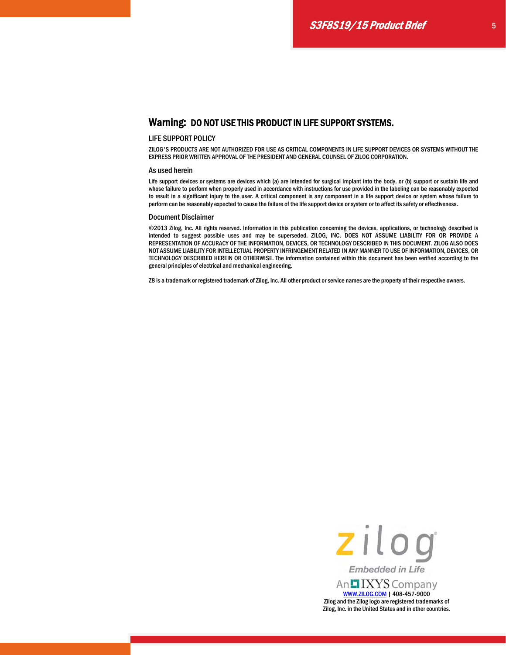# Warning: DO NOT USE THIS PRODUCT IN LIFE SUPPORT SYSTEMS.

## LIFE SUPPORT POLICY

ZILOG'S PRODUCTS ARE NOT AUTHORIZED FOR USE AS CRITICAL COMPONENTS IN LIFE SUPPORT DEVICES OR SYSTEMS WITHOUT THE EXPRESS PRIOR WRITTEN APPROVAL OF THE PRESIDENT AND GENERAL COUNSEL OF ZILOG CORPORATION.

#### As used herein

Life support devices or systems are devices which (a) are intended for surgical implant into the body, or (b) support or sustain life and whose failure to perform when properly used in accordance with instructions for use provided in the labeling can be reasonably expected to result in a significant injury to the user. A critical component is any component in a life support device or system whose failure to perform can be reasonably expected to cause the failure of the life support device or system or to affect its safety or effectiveness.

#### Document Disclaimer

©2013 Zilog, Inc. All rights reserved. Information in this publication concerning the devices, applications, or technology described is intended to suggest possible uses and may be superseded. ZILOG, INC. DOES NOT ASSUME LIABILITY FOR OR PROVIDE A REPRESENTATION OF ACCURACY OF THE INFORMATION, DEVICES, OR TECHNOLOGY DESCRIBED IN THIS DOCUMENT. ZILOG ALSO DOES NOT ASSUME LIABILITY FOR INTELLECTUAL PROPERTY INFRINGEMENT RELATED IN ANY MANNER TO USE OF INFORMATION, DEVICES, OR TECHNOLOGY DESCRIBED HEREIN OR OTHERWISE. The information contained within this document has been verified according to the general principles of electrical and mechanical engineering.

Z8 is a trademark or registered trademark of Zilog, Inc. All other product or service names are the property of their respective owners.